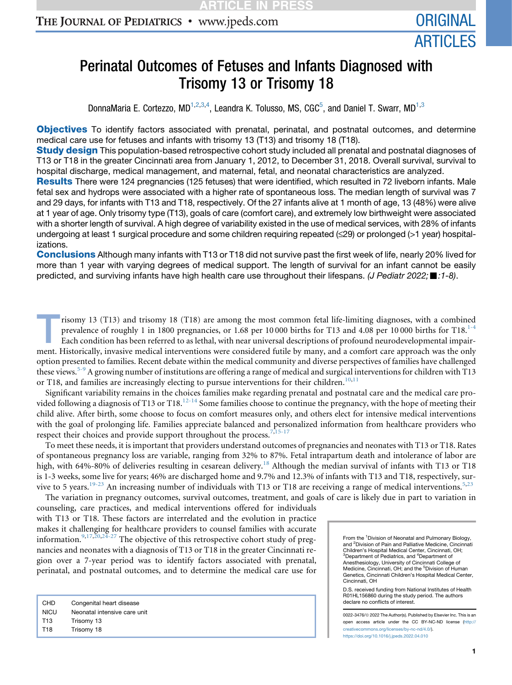# Perinatal Outcomes of Fetuses and Infants Diagnosed with Trisomy 13 or Trisomy 18

DonnaMaria E. Cortezzo, MD<sup>1,2,3,4</sup>, Leandra K. Tolusso, MS, CGC<sup>5</sup>, and Daniel T. Swarr, MD<sup>1,3</sup>

**Objectives** To identify factors associated with prenatal, perinatal, and postnatal outcomes, and determine medical care use for fetuses and infants with trisomy 13 (T13) and trisomy 18 (T18).

**Study design** This population-based retrospective cohort study included all prenatal and postnatal diagnoses of T13 or T18 in the greater Cincinnati area from January 1, 2012, to December 31, 2018. Overall survival, survival to hospital discharge, medical management, and maternal, fetal, and neonatal characteristics are analyzed.

Results There were 124 pregnancies (125 fetuses) that were identified, which resulted in 72 liveborn infants. Male fetal sex and hydrops were associated with a higher rate of spontaneous loss. The median length of survival was 7 and 29 days, for infants with T13 and T18, respectively. Of the 27 infants alive at 1 month of age, 13 (48%) were alive at 1 year of age. Only trisomy type (T13), goals of care (comfort care), and extremely low birthweight were associated with a shorter length of survival. A high degree of variability existed in the use of medical services, with 28% of infants undergoing at least 1 surgical procedure and some children requiring repeated ( $\leq$ 29) or prolonged (>1 year) hospitalizations.

Conclusions Although many infants with T13 or T18 did not survive past the first week of life, nearly 20% lived for more than 1 year with varying degrees of medical support. The length of survival for an infant cannot be easily predicted, and surviving infants have high health care use throughout their lifespans. *(J Pediatr 2022;*-*:1-8)*.

risomy 13 (T13) and trisomy 18 (T18) are among the most common fetal life-limiting diagnoses, with a combined prevalence of roughly 1 in 1800 pregnancies, or 1.68 per 10 000 births for T13 and 4.08 per 10 000 births for T18. $1-4$ Each condition has been referred to as lethal, with near universal descriptions of profound neurodevelopmental impairment. Historically, invasive medical interventions were considered futile by many, and a comfort care approach was the only option presented to families. Recent debate within the medical community and diverse perspectives of families have challenged these views.<sup>[5-9](#page-6-1)</sup> A growing number of institutions are offering a range of medical and surgical interventions for children with T13 or T18, and families are increasingly electing to pursue interventions for their children.<sup>[10](#page-6-2),[11](#page-6-3)</sup>

Significant variability remains in the choices families make regarding prenatal and postnatal care and the medical care pro-vided following a diagnosis of T13 or T18.<sup>[12-14](#page-6-4)</sup> Some families choose to continue the pregnancy, with the hope of meeting their child alive. After birth, some choose to focus on comfort measures only, and others elect for intensive medical interventions with the goal of prolonging life. Families appreciate balanced and personalized information from healthcare providers who respect their choices and provide support throughout the process.<sup>[7](#page-6-5),[15-17](#page-6-6)</sup>

To meet these needs, it is important that providers understand outcomes of pregnancies and neonates with T13 or T18. Rates of spontaneous pregnancy loss are variable, ranging from 32% to 87%. Fetal intrapartum death and intolerance of labor are high, with 64%-80% of deliveries resulting in cesarean delivery.<sup>[18](#page-6-7)</sup> Although the median survival of infants with T13 or T18 is 1-3 weeks, some live for years; 46% are discharged home and 9.7% and 12.3% of infants with T13 and T18, respectively, sur-vive to 5 years.<sup>[19-23](#page-6-8)</sup> An increasing number of individuals with T13 or T18 are receiving a range of medical interventions.<sup>[5,](#page-6-1)[23](#page-6-9)</sup>

The variation in pregnancy outcomes, survival outcomes, treatment, and goals of care is likely due in part to variation in counseling, care practices, and medical interventions offered for individuals

with T13 or T18. These factors are interrelated and the evolution in practice makes it challenging for healthcare providers to counsel families with accurate information.<sup>[9](#page-6-10)[,17](#page-6-11)[,20](#page-6-12)[,24-27](#page-6-13)</sup> The objective of this retrospective cohort study of pregnancies and neonates with a diagnosis of T13 or T18 in the greater Cincinnati region over a 7-year period was to identify factors associated with prenatal, perinatal, and postnatal outcomes, and to determine the medical care use for

| Congenital heart disease     |
|------------------------------|
| Neonatal intensive care unit |
| Trisomy 13                   |
| Trisomy 18                   |
|                              |

From the <sup>1</sup> Division of Neonatal and Pulmonary Biology, and <sup>2</sup> Division of Pain and Palliative Medicine, Cincinnati<br>Children's Hospital Medical Center, Cincinnati, OH; <sup>3</sup>Department of Pediatrics, and <sup>4</sup>Department of Anesthesiology, University of Cincinnati College of Medicine, Cincinnati, OH; and the <sup>5</sup>Division of Human Genetics, Cincinnati Children's Hospital Medical Center, Cincinnati, OH

D.S. received funding from National Institutes of Health R01HL156860 during the study period. The authors declare no conflicts of interest.

0022-3476/@ 2022 The Author(s). Published by Elsevier Inc. This is an open access article under the CC BY-NC-ND license [\(http://](http://creativecommons.org/licenses/by-nc-nd/4.0/) [creativecommons.org/licenses/by-nc-nd/4.0/\)](http://creativecommons.org/licenses/by-nc-nd/4.0/). <https://doi.org/10.1016/j.jpeds.2022.04.010>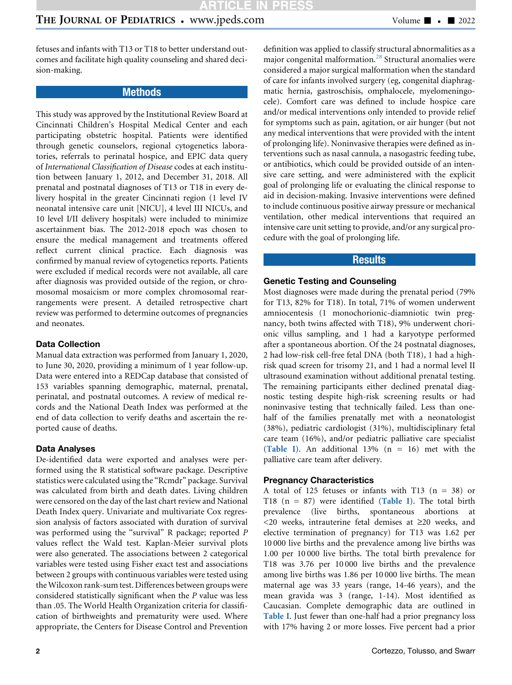fetuses and infants with T13 or T18 to better understand outcomes and facilitate high quality counseling and shared decision-making.

### **Methods**

This study was approved by the Institutional Review Board at Cincinnati Children's Hospital Medical Center and each participating obstetric hospital. Patients were identified through genetic counselors, regional cytogenetics laboratories, referrals to perinatal hospice, and EPIC data query of International Classification of Disease codes at each institution between January 1, 2012, and December 31, 2018. All prenatal and postnatal diagnoses of T13 or T18 in every delivery hospital in the greater Cincinnati region (1 level IV neonatal intensive care unit [NICU], 4 level III NICUs, and 10 level I/II delivery hospitals) were included to minimize ascertainment bias. The 2012-2018 epoch was chosen to ensure the medical management and treatments offered reflect current clinical practice. Each diagnosis was confirmed by manual review of cytogenetics reports. Patients were excluded if medical records were not available, all care after diagnosis was provided outside of the region, or chromosomal mosaicism or more complex chromosomal rearrangements were present. A detailed retrospective chart review was performed to determine outcomes of pregnancies and neonates.

### Data Collection

Manual data extraction was performed from January 1, 2020, to June 30, 2020, providing a minimum of 1 year follow-up. Data were entered into a REDCap database that consisted of 153 variables spanning demographic, maternal, prenatal, perinatal, and postnatal outcomes. A review of medical records and the National Death Index was performed at the end of data collection to verify deaths and ascertain the reported cause of deaths.

#### Data Analyses

De-identified data were exported and analyses were performed using the R statistical software package. Descriptive statistics were calculated using the "Rcmdr" package. Survival was calculated from birth and death dates. Living children were censored on the day of the last chart review and National Death Index query. Univariate and multivariate Cox regression analysis of factors associated with duration of survival was performed using the "survival" R package; reported P values reflect the Wald test. Kaplan-Meier survival plots were also generated. The associations between 2 categorical variables were tested using Fisher exact test and associations between 2 groups with continuous variables were tested using theWilcoxon rank-sum test. Differences between groups were considered statistically significant when the P value was less than .05. The World Health Organization criteria for classification of birthweights and prematurity were used. Where appropriate, the Centers for Disease Control and Prevention

definition was applied to classify structural abnormalities as a major congenital malformation.[28](#page-6-14) Structural anomalies were considered a major surgical malformation when the standard of care for infants involved surgery (eg, congenital diaphragmatic hernia, gastroschisis, omphalocele, myelomeningocele). Comfort care was defined to include hospice care and/or medical interventions only intended to provide relief for symptoms such as pain, agitation, or air hunger (but not any medical interventions that were provided with the intent of prolonging life). Noninvasive therapies were defined as interventions such as nasal cannula, a nasogastric feeding tube, or antibiotics, which could be provided outside of an intensive care setting, and were administered with the explicit goal of prolonging life or evaluating the clinical response to aid in decision-making. Invasive interventions were defined to include continuous positive airway pressure or mechanical ventilation, other medical interventions that required an intensive care unit setting to provide, and/or any surgical procedure with the goal of prolonging life.

### Results

#### Genetic Testing and Counseling

Most diagnoses were made during the prenatal period (79% for T13, 82% for T18). In total, 71% of women underwent amniocentesis (1 monochorionic-diamniotic twin pregnancy, both twins affected with T18), 9% underwent chorionic villus sampling, and 1 had a karyotype performed after a spontaneous abortion. Of the 24 postnatal diagnoses, 2 had low-risk cell-free fetal DNA (both T18), 1 had a highrisk quad screen for trisomy 21, and 1 had a normal level II ultrasound examination without additional prenatal testing. The remaining participants either declined prenatal diagnostic testing despite high-risk screening results or had noninvasive testing that technically failed. Less than onehalf of the families prenatally met with a neonatologist (38%), pediatric cardiologist (31%), multidisciplinary fetal care team (16%), and/or pediatric palliative care specialist ([Table I](#page-2-0)). An additional  $13\%$  (n = 16) met with the palliative care team after delivery.

#### Pregnancy Characteristics

A total of 125 fetuses or infants with T13  $(n = 38)$  or T18 ( $n = 87$ ) were identified ([Table I](#page-2-0)). The total birth prevalence (live births, spontaneous abortions at  $<$ 20 weeks, intrauterine fetal demises at  $\geq$ 20 weeks, and elective termination of pregnancy) for T13 was 1.62 per 10 000 live births and the prevalence among live births was 1.00 per 10 000 live births. The total birth prevalence for T18 was 3.76 per 10 000 live births and the prevalence among live births was 1.86 per 10 000 live births. The mean maternal age was 33 years (range, 14-46 years), and the mean gravida was 3 (range, 1-14). Most identified as Caucasian. Complete demographic data are outlined in [Table I](#page-2-0). Just fewer than one-half had a prior pregnancy loss with 17% having 2 or more losses. Five percent had a prior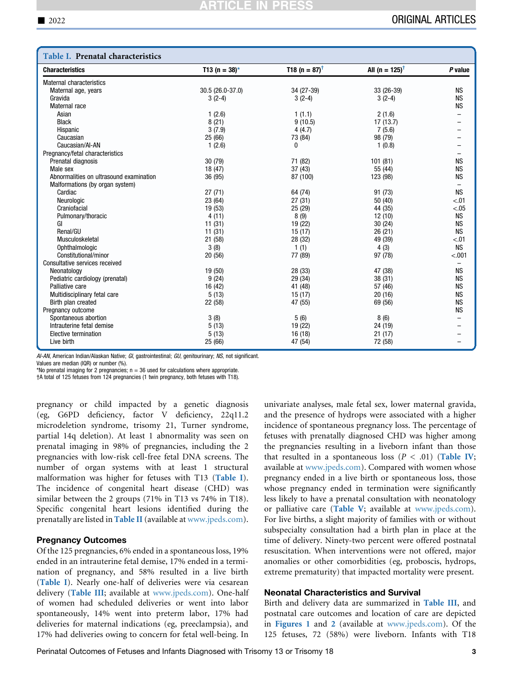<span id="page-2-0"></span>

| T18 (n = $87$ ) <sup>†</sup><br>All (n = $125$ ) <sup>†</sup><br><b>Characteristics</b><br>T13 (n = $38$ )*<br>P value<br><b>Maternal characteristics</b><br>30.5 (26.0-37.0)<br>34 (27-39)<br>33 (26-39)<br><b>NS</b><br>Maternal age, years<br><b>NS</b><br>Gravida<br>$3(2-4)$<br>$3(2-4)$<br>$3(2-4)$<br><b>NS</b><br>Maternal race<br>1(2.6)<br>Asian<br>1(1.1)<br>2(1.6)<br>8(21)<br><b>Black</b><br>9(10.5)<br>17(13.7)<br>3(7.9)<br>4(4.7)<br>7(5.6)<br>Hispanic<br>Caucasian<br>25 (66)<br>73 (84)<br>98 (79)<br>Caucasian/AI-AN<br>1(2.6)<br>0<br>1(0.8)<br>Pregnancy/fetal characteristics<br><b>NS</b><br>Prenatal diagnosis<br>30(79)<br>71 (82)<br>101(81)<br><b>NS</b><br>37(43)<br>Male sex<br>18 (47)<br>55 (44)<br><b>NS</b><br>Abnormalities on ultrasound examination<br>36 (95)<br>87 (100)<br>123 (98)<br>Malformations (by organ system)<br>$\overline{\phantom{0}}$<br>27(71)<br><b>NS</b><br>Cardiac<br>64 (74)<br>91 (73)<br>23 (64)<br>27(31)<br>50(40)<br>Neurologic<br>< .01<br>< .05<br>Craniofacial<br>19 (53)<br>25 (29)<br>44 (35)<br>8(9)<br><b>NS</b><br>Pulmonary/thoracic<br>4(11)<br>12(10)<br>19 (22)<br><b>NS</b><br>GI<br>11(31)<br>30(24)<br>Renal/GU<br><b>NS</b><br>11(31)<br>15(17)<br>26(21)<br>Musculoskeletal<br>21 (58)<br>28 (32)<br>49 (39)<br>< .01<br><b>NS</b><br>3(8)<br>1(1)<br>4(3)<br>Ophthalmologic<br>Constitutional/minor<br>77 (89)<br>97 (78)<br>< .001<br>20(56)<br>Consultative services received<br>28 (33)<br><b>NS</b><br>Neonatology<br>19 (50)<br>47 (38)<br>9(24)<br><b>NS</b><br>Pediatric cardiology (prenatal)<br>29 (34)<br>38 (31)<br><b>NS</b><br>Palliative care<br>16 (42)<br>41 (48)<br>57 (46)<br><b>NS</b><br>Multidisciplinary fetal care<br>5(13)<br>15(17)<br>20(16)<br>22 (58)<br>47 (55)<br>69 (56)<br><b>NS</b><br>Birth plan created<br>Pregnancy outcome<br><b>NS</b><br>Spontaneous abortion<br>3(8)<br>5(6)<br>8(6)<br>Intrauterine fetal demise<br>5(13)<br>19 (22)<br>24 (19)<br>Elective termination<br>5(13)<br>16(18)<br>21(17)<br>Live birth<br>25 (66)<br>47 (54)<br>72 (58) | Table I. Prenatal characteristics |  |  |
|---------------------------------------------------------------------------------------------------------------------------------------------------------------------------------------------------------------------------------------------------------------------------------------------------------------------------------------------------------------------------------------------------------------------------------------------------------------------------------------------------------------------------------------------------------------------------------------------------------------------------------------------------------------------------------------------------------------------------------------------------------------------------------------------------------------------------------------------------------------------------------------------------------------------------------------------------------------------------------------------------------------------------------------------------------------------------------------------------------------------------------------------------------------------------------------------------------------------------------------------------------------------------------------------------------------------------------------------------------------------------------------------------------------------------------------------------------------------------------------------------------------------------------------------------------------------------------------------------------------------------------------------------------------------------------------------------------------------------------------------------------------------------------------------------------------------------------------------------------------------------------------------------------------------------------------------------------------------------------------------------------------------------------------------------------------------------------|-----------------------------------|--|--|
|                                                                                                                                                                                                                                                                                                                                                                                                                                                                                                                                                                                                                                                                                                                                                                                                                                                                                                                                                                                                                                                                                                                                                                                                                                                                                                                                                                                                                                                                                                                                                                                                                                                                                                                                                                                                                                                                                                                                                                                                                                                                                 |                                   |  |  |
|                                                                                                                                                                                                                                                                                                                                                                                                                                                                                                                                                                                                                                                                                                                                                                                                                                                                                                                                                                                                                                                                                                                                                                                                                                                                                                                                                                                                                                                                                                                                                                                                                                                                                                                                                                                                                                                                                                                                                                                                                                                                                 |                                   |  |  |
|                                                                                                                                                                                                                                                                                                                                                                                                                                                                                                                                                                                                                                                                                                                                                                                                                                                                                                                                                                                                                                                                                                                                                                                                                                                                                                                                                                                                                                                                                                                                                                                                                                                                                                                                                                                                                                                                                                                                                                                                                                                                                 |                                   |  |  |
|                                                                                                                                                                                                                                                                                                                                                                                                                                                                                                                                                                                                                                                                                                                                                                                                                                                                                                                                                                                                                                                                                                                                                                                                                                                                                                                                                                                                                                                                                                                                                                                                                                                                                                                                                                                                                                                                                                                                                                                                                                                                                 |                                   |  |  |
|                                                                                                                                                                                                                                                                                                                                                                                                                                                                                                                                                                                                                                                                                                                                                                                                                                                                                                                                                                                                                                                                                                                                                                                                                                                                                                                                                                                                                                                                                                                                                                                                                                                                                                                                                                                                                                                                                                                                                                                                                                                                                 |                                   |  |  |
|                                                                                                                                                                                                                                                                                                                                                                                                                                                                                                                                                                                                                                                                                                                                                                                                                                                                                                                                                                                                                                                                                                                                                                                                                                                                                                                                                                                                                                                                                                                                                                                                                                                                                                                                                                                                                                                                                                                                                                                                                                                                                 |                                   |  |  |
|                                                                                                                                                                                                                                                                                                                                                                                                                                                                                                                                                                                                                                                                                                                                                                                                                                                                                                                                                                                                                                                                                                                                                                                                                                                                                                                                                                                                                                                                                                                                                                                                                                                                                                                                                                                                                                                                                                                                                                                                                                                                                 |                                   |  |  |
|                                                                                                                                                                                                                                                                                                                                                                                                                                                                                                                                                                                                                                                                                                                                                                                                                                                                                                                                                                                                                                                                                                                                                                                                                                                                                                                                                                                                                                                                                                                                                                                                                                                                                                                                                                                                                                                                                                                                                                                                                                                                                 |                                   |  |  |
|                                                                                                                                                                                                                                                                                                                                                                                                                                                                                                                                                                                                                                                                                                                                                                                                                                                                                                                                                                                                                                                                                                                                                                                                                                                                                                                                                                                                                                                                                                                                                                                                                                                                                                                                                                                                                                                                                                                                                                                                                                                                                 |                                   |  |  |
|                                                                                                                                                                                                                                                                                                                                                                                                                                                                                                                                                                                                                                                                                                                                                                                                                                                                                                                                                                                                                                                                                                                                                                                                                                                                                                                                                                                                                                                                                                                                                                                                                                                                                                                                                                                                                                                                                                                                                                                                                                                                                 |                                   |  |  |
|                                                                                                                                                                                                                                                                                                                                                                                                                                                                                                                                                                                                                                                                                                                                                                                                                                                                                                                                                                                                                                                                                                                                                                                                                                                                                                                                                                                                                                                                                                                                                                                                                                                                                                                                                                                                                                                                                                                                                                                                                                                                                 |                                   |  |  |
|                                                                                                                                                                                                                                                                                                                                                                                                                                                                                                                                                                                                                                                                                                                                                                                                                                                                                                                                                                                                                                                                                                                                                                                                                                                                                                                                                                                                                                                                                                                                                                                                                                                                                                                                                                                                                                                                                                                                                                                                                                                                                 |                                   |  |  |
|                                                                                                                                                                                                                                                                                                                                                                                                                                                                                                                                                                                                                                                                                                                                                                                                                                                                                                                                                                                                                                                                                                                                                                                                                                                                                                                                                                                                                                                                                                                                                                                                                                                                                                                                                                                                                                                                                                                                                                                                                                                                                 |                                   |  |  |
|                                                                                                                                                                                                                                                                                                                                                                                                                                                                                                                                                                                                                                                                                                                                                                                                                                                                                                                                                                                                                                                                                                                                                                                                                                                                                                                                                                                                                                                                                                                                                                                                                                                                                                                                                                                                                                                                                                                                                                                                                                                                                 |                                   |  |  |
|                                                                                                                                                                                                                                                                                                                                                                                                                                                                                                                                                                                                                                                                                                                                                                                                                                                                                                                                                                                                                                                                                                                                                                                                                                                                                                                                                                                                                                                                                                                                                                                                                                                                                                                                                                                                                                                                                                                                                                                                                                                                                 |                                   |  |  |
|                                                                                                                                                                                                                                                                                                                                                                                                                                                                                                                                                                                                                                                                                                                                                                                                                                                                                                                                                                                                                                                                                                                                                                                                                                                                                                                                                                                                                                                                                                                                                                                                                                                                                                                                                                                                                                                                                                                                                                                                                                                                                 |                                   |  |  |
|                                                                                                                                                                                                                                                                                                                                                                                                                                                                                                                                                                                                                                                                                                                                                                                                                                                                                                                                                                                                                                                                                                                                                                                                                                                                                                                                                                                                                                                                                                                                                                                                                                                                                                                                                                                                                                                                                                                                                                                                                                                                                 |                                   |  |  |
|                                                                                                                                                                                                                                                                                                                                                                                                                                                                                                                                                                                                                                                                                                                                                                                                                                                                                                                                                                                                                                                                                                                                                                                                                                                                                                                                                                                                                                                                                                                                                                                                                                                                                                                                                                                                                                                                                                                                                                                                                                                                                 |                                   |  |  |
|                                                                                                                                                                                                                                                                                                                                                                                                                                                                                                                                                                                                                                                                                                                                                                                                                                                                                                                                                                                                                                                                                                                                                                                                                                                                                                                                                                                                                                                                                                                                                                                                                                                                                                                                                                                                                                                                                                                                                                                                                                                                                 |                                   |  |  |
|                                                                                                                                                                                                                                                                                                                                                                                                                                                                                                                                                                                                                                                                                                                                                                                                                                                                                                                                                                                                                                                                                                                                                                                                                                                                                                                                                                                                                                                                                                                                                                                                                                                                                                                                                                                                                                                                                                                                                                                                                                                                                 |                                   |  |  |
|                                                                                                                                                                                                                                                                                                                                                                                                                                                                                                                                                                                                                                                                                                                                                                                                                                                                                                                                                                                                                                                                                                                                                                                                                                                                                                                                                                                                                                                                                                                                                                                                                                                                                                                                                                                                                                                                                                                                                                                                                                                                                 |                                   |  |  |
|                                                                                                                                                                                                                                                                                                                                                                                                                                                                                                                                                                                                                                                                                                                                                                                                                                                                                                                                                                                                                                                                                                                                                                                                                                                                                                                                                                                                                                                                                                                                                                                                                                                                                                                                                                                                                                                                                                                                                                                                                                                                                 |                                   |  |  |
|                                                                                                                                                                                                                                                                                                                                                                                                                                                                                                                                                                                                                                                                                                                                                                                                                                                                                                                                                                                                                                                                                                                                                                                                                                                                                                                                                                                                                                                                                                                                                                                                                                                                                                                                                                                                                                                                                                                                                                                                                                                                                 |                                   |  |  |
|                                                                                                                                                                                                                                                                                                                                                                                                                                                                                                                                                                                                                                                                                                                                                                                                                                                                                                                                                                                                                                                                                                                                                                                                                                                                                                                                                                                                                                                                                                                                                                                                                                                                                                                                                                                                                                                                                                                                                                                                                                                                                 |                                   |  |  |
|                                                                                                                                                                                                                                                                                                                                                                                                                                                                                                                                                                                                                                                                                                                                                                                                                                                                                                                                                                                                                                                                                                                                                                                                                                                                                                                                                                                                                                                                                                                                                                                                                                                                                                                                                                                                                                                                                                                                                                                                                                                                                 |                                   |  |  |
|                                                                                                                                                                                                                                                                                                                                                                                                                                                                                                                                                                                                                                                                                                                                                                                                                                                                                                                                                                                                                                                                                                                                                                                                                                                                                                                                                                                                                                                                                                                                                                                                                                                                                                                                                                                                                                                                                                                                                                                                                                                                                 |                                   |  |  |
|                                                                                                                                                                                                                                                                                                                                                                                                                                                                                                                                                                                                                                                                                                                                                                                                                                                                                                                                                                                                                                                                                                                                                                                                                                                                                                                                                                                                                                                                                                                                                                                                                                                                                                                                                                                                                                                                                                                                                                                                                                                                                 |                                   |  |  |
|                                                                                                                                                                                                                                                                                                                                                                                                                                                                                                                                                                                                                                                                                                                                                                                                                                                                                                                                                                                                                                                                                                                                                                                                                                                                                                                                                                                                                                                                                                                                                                                                                                                                                                                                                                                                                                                                                                                                                                                                                                                                                 |                                   |  |  |
|                                                                                                                                                                                                                                                                                                                                                                                                                                                                                                                                                                                                                                                                                                                                                                                                                                                                                                                                                                                                                                                                                                                                                                                                                                                                                                                                                                                                                                                                                                                                                                                                                                                                                                                                                                                                                                                                                                                                                                                                                                                                                 |                                   |  |  |
|                                                                                                                                                                                                                                                                                                                                                                                                                                                                                                                                                                                                                                                                                                                                                                                                                                                                                                                                                                                                                                                                                                                                                                                                                                                                                                                                                                                                                                                                                                                                                                                                                                                                                                                                                                                                                                                                                                                                                                                                                                                                                 |                                   |  |  |
|                                                                                                                                                                                                                                                                                                                                                                                                                                                                                                                                                                                                                                                                                                                                                                                                                                                                                                                                                                                                                                                                                                                                                                                                                                                                                                                                                                                                                                                                                                                                                                                                                                                                                                                                                                                                                                                                                                                                                                                                                                                                                 |                                   |  |  |
|                                                                                                                                                                                                                                                                                                                                                                                                                                                                                                                                                                                                                                                                                                                                                                                                                                                                                                                                                                                                                                                                                                                                                                                                                                                                                                                                                                                                                                                                                                                                                                                                                                                                                                                                                                                                                                                                                                                                                                                                                                                                                 |                                   |  |  |
|                                                                                                                                                                                                                                                                                                                                                                                                                                                                                                                                                                                                                                                                                                                                                                                                                                                                                                                                                                                                                                                                                                                                                                                                                                                                                                                                                                                                                                                                                                                                                                                                                                                                                                                                                                                                                                                                                                                                                                                                                                                                                 |                                   |  |  |
|                                                                                                                                                                                                                                                                                                                                                                                                                                                                                                                                                                                                                                                                                                                                                                                                                                                                                                                                                                                                                                                                                                                                                                                                                                                                                                                                                                                                                                                                                                                                                                                                                                                                                                                                                                                                                                                                                                                                                                                                                                                                                 |                                   |  |  |
|                                                                                                                                                                                                                                                                                                                                                                                                                                                                                                                                                                                                                                                                                                                                                                                                                                                                                                                                                                                                                                                                                                                                                                                                                                                                                                                                                                                                                                                                                                                                                                                                                                                                                                                                                                                                                                                                                                                                                                                                                                                                                 |                                   |  |  |

AI-AN, American Indian/Alaskan Native; GI, gastrointestinal; GU, genitourinary; NS, not significant.

Values are median (IQR) or number (%).

\*No prenatal imaging for 2 pregnancies;  $n = 36$  used for calculations where appropriate. †A total of 125 fetuses from 124 pregnancies (1 twin pregnancy, both fetuses with T18).

pregnancy or child impacted by a genetic diagnosis (eg, G6PD deficiency, factor V deficiency, 22q11.2 microdeletion syndrome, trisomy 21, Turner syndrome, partial 14q deletion). At least 1 abnormality was seen on prenatal imaging in 98% of pregnancies, including the 2 pregnancies with low-risk cell-free fetal DNA screens. The number of organ systems with at least 1 structural malformation was higher for fetuses with T13 ([Table I](#page-2-0)). The incidence of congenital heart disease (CHD) was similar between the 2 groups (71% in T13 vs 74% in T18). Specific congenital heart lesions identified during the prenatally are listed in [Table II](#page-9-0) (available at [www.jpeds.com\)](http://www.jpeds.com).

#### Pregnancy Outcomes

Of the 125 pregnancies, 6% ended in a spontaneous loss, 19% ended in an intrauterine fetal demise, 17% ended in a termination of pregnancy, and 58% resulted in a live birth ([Table I](#page-2-0)). Nearly one-half of deliveries were via cesarean delivery ([Table III](#page-10-0); available at [www.jpeds.com](http://www.jpeds.com)). One-half of women had scheduled deliveries or went into labor spontaneously, 14% went into preterm labor, 17% had deliveries for maternal indications (eg, preeclampsia), and 17% had deliveries owing to concern for fetal well-being. In

univariate analyses, male fetal sex, lower maternal gravida, and the presence of hydrops were associated with a higher incidence of spontaneous pregnancy loss. The percentage of fetuses with prenatally diagnosed CHD was higher among the pregnancies resulting in a liveborn infant than those that resulted in a spontaneous loss  $(P < .01)$  ([Table IV](#page-10-1); available at [www.jpeds.com](http://www.jpeds.com)). Compared with women whose pregnancy ended in a live birth or spontaneous loss, those whose pregnancy ended in termination were significantly less likely to have a prenatal consultation with neonatology or palliative care ([Table V](#page-10-2); available at [www.jpeds.com\)](http://www.jpeds.com). For live births, a slight majority of families with or without subspecialty consultation had a birth plan in place at the time of delivery. Ninety-two percent were offered postnatal resuscitation. When interventions were not offered, major anomalies or other comorbidities (eg, proboscis, hydrops, extreme prematurity) that impacted mortality were present.

#### Neonatal Characteristics and Survival

Birth and delivery data are summarized in [Table III](#page-10-0), and postnatal care outcomes and location of care are depicted in [Figures 1](#page-8-0) and [2](#page-8-1) (available at [www.jpeds.com\)](http://www.jpeds.com). Of the 125 fetuses, 72 (58%) were liveborn. Infants with T18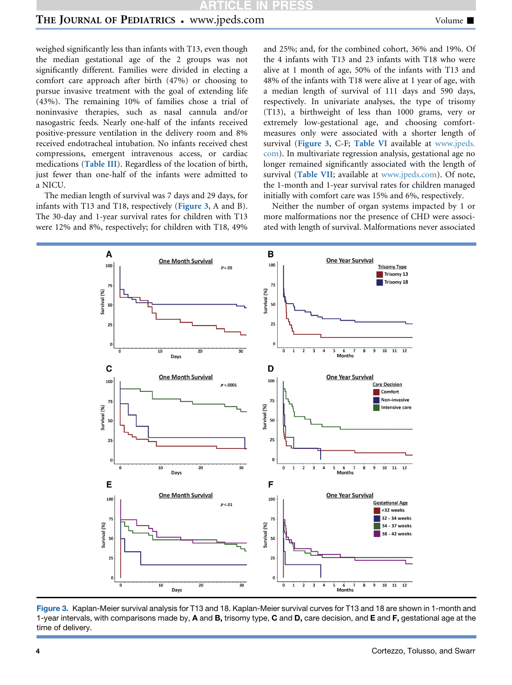# THE JOURNAL OF PEDIATRICS • www.jpeds.com Volume  $\blacksquare$

weighed significantly less than infants with T13, even though the median gestational age of the 2 groups was not significantly different. Families were divided in electing a comfort care approach after birth (47%) or choosing to pursue invasive treatment with the goal of extending life (43%). The remaining 10% of families chose a trial of noninvasive therapies, such as nasal cannula and/or nasogastric feeds. Nearly one-half of the infants received positive-pressure ventilation in the delivery room and 8% received endotracheal intubation. No infants received chest compressions, emergent intravenous access, or cardiac medications ([Table III](#page-10-0)). Regardless of the location of birth, just fewer than one-half of the infants were admitted to a NICU.

The median length of survival was 7 days and 29 days, for infants with T13 and T18, respectively ([Figure 3](#page-3-0), A and B). The 30-day and 1-year survival rates for children with T13 were 12% and 8%, respectively; for children with T18, 49% and 25%; and, for the combined cohort, 36% and 19%. Of the 4 infants with T13 and 23 infants with T18 who were alive at 1 month of age, 50% of the infants with T13 and 48% of the infants with T18 were alive at 1 year of age, with a median length of survival of 111 days and 590 days, respectively. In univariate analyses, the type of trisomy (T13), a birthweight of less than 1000 grams, very or extremely low-gestational age, and choosing comfortmeasures only were associated with a shorter length of survival ([Figure 3](#page-3-0), C-F; [Table VI](#page-10-3) available at [www.jpeds.](http://www.jpeds.com) [com\)](http://www.jpeds.com). In multivariate regression analysis, gestational age no longer remained significantly associated with the length of survival ([Table VII](#page-11-0); available at [www.jpeds.com](http://www.jpeds.com)). Of note, the 1-month and 1-year survival rates for children managed initially with comfort care was 15% and 6%, respectively.

Neither the number of organ systems impacted by 1 or more malformations nor the presence of CHD were associated with length of survival. Malformations never associated

<span id="page-3-0"></span>

Figure 3. Kaplan-Meier survival analysis for T13 and 18. Kaplan-Meier survival curves for T13 and 18 are shown in 1-month and 1-year intervals, with comparisons made by, A and B, trisomy type, C and D, care decision, and E and F, gestational age at the time of delivery.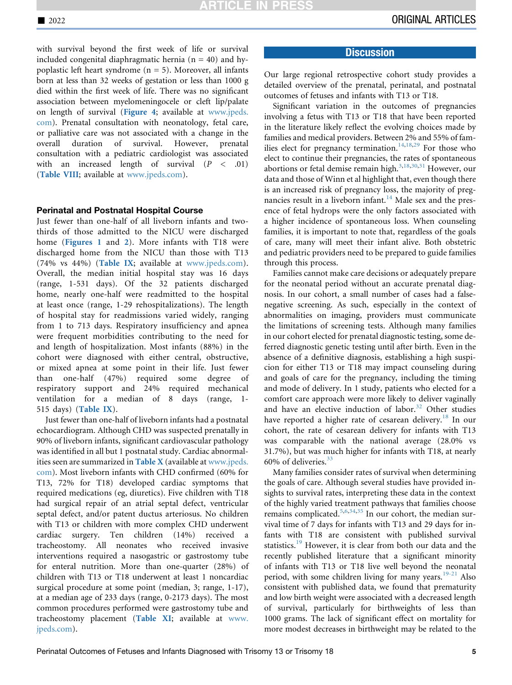with survival beyond the first week of life or survival included congenital diaphragmatic hernia ( $n = 40$ ) and hypoplastic left heart syndrome  $(n = 5)$ . Moreover, all infants born at less than 32 weeks of gestation or less than 1000 g died within the first week of life. There was no significant association between myelomeningocele or cleft lip/palate on length of survival ([Figure 4](#page-9-1); available at [www.jpeds.](http://www.jpeds.com) [com](http://www.jpeds.com)). Prenatal consultation with neonatology, fetal care, or palliative care was not associated with a change in the overall duration of survival. However, prenatal consultation with a pediatric cardiologist was associated with an increased length of survival  $(P < .01)$ ([Table VIII](#page-11-1); available at [www.jpeds.com](http://www.jpeds.com)).

#### Perinatal and Postnatal Hospital Course

Just fewer than one-half of all liveborn infants and twothirds of those admitted to the NICU were discharged home ([Figures 1](#page-8-0) and [2](#page-8-1)). More infants with T18 were discharged home from the NICU than those with T13 (74% vs 44%) ([Table IX](#page-11-2); available at [www.jpeds.com\)](http://www.jpeds.com). Overall, the median initial hospital stay was 16 days (range, 1-531 days). Of the 32 patients discharged home, nearly one-half were readmitted to the hospital at least once (range, 1-29 rehospitalizations). The length of hospital stay for readmissions varied widely, ranging from 1 to 713 days. Respiratory insufficiency and apnea were frequent morbidities contributing to the need for and length of hospitalization. Most infants (88%) in the cohort were diagnosed with either central, obstructive, or mixed apnea at some point in their life. Just fewer than one-half (47%) required some degree of respiratory support and 24% required mechanical ventilation for a median of 8 days (range, 1- 515 days) ([Table IX](#page-11-2)).

Just fewer than one-half of liveborn infants had a postnatal echocardiogram. Although CHD was suspected prenatally in 90% of liveborn infants, significant cardiovascular pathology was identified in all but 1 postnatal study. Cardiac abnormalities seen are summarized in [Table X](#page-11-3) (available at [www.jpeds.](http://www.jpeds.com) [com](http://www.jpeds.com)). Most liveborn infants with CHD confirmed (60% for T13, 72% for T18) developed cardiac symptoms that required medications (eg, diuretics). Five children with T18 had surgical repair of an atrial septal defect, ventricular septal defect, and/or patent ductus arteriosus. No children with T13 or children with more complex CHD underwent cardiac surgery. Ten children (14%) received a tracheostomy. All neonates who received invasive interventions required a nasogastric or gastrostomy tube for enteral nutrition. More than one-quarter (28%) of children with T13 or T18 underwent at least 1 noncardiac surgical procedure at some point (median, 3; range, 1-17), at a median age of 233 days (range, 0-2173 days). The most common procedures performed were gastrostomy tube and tracheostomy placement ([Table XI](#page-12-0); available at [www.](http://www.jpeds.com) [jpeds.com\)](http://www.jpeds.com).

### **Discussion**

Our large regional retrospective cohort study provides a detailed overview of the prenatal, perinatal, and postnatal outcomes of fetuses and infants with T13 or T18.

Significant variation in the outcomes of pregnancies involving a fetus with T13 or T18 that have been reported in the literature likely reflect the evolving choices made by families and medical providers. Between 2% and 55% of fam-ilies elect for pregnancy termination.<sup>[14,](#page-6-15)[18,](#page-6-7)[29](#page-6-16)</sup> For those who elect to continue their pregnancies, the rates of spontaneous abortions or fetal demise remain high. $3,18,30,31$  $3,18,30,31$  $3,18,30,31$  $3,18,30,31$  $3,18,30,31$  $3,18,30,31$  $3,18,30,31$  However, our data and those of Winn et al highlight that, even though there is an increased risk of pregnancy loss, the majority of preg-nancies result in a liveborn infant.<sup>[14](#page-6-15)</sup> Male sex and the presence of fetal hydrops were the only factors associated with a higher incidence of spontaneous loss. When counseling families, it is important to note that, regardless of the goals of care, many will meet their infant alive. Both obstetric and pediatric providers need to be prepared to guide families through this process.

Families cannot make care decisions or adequately prepare for the neonatal period without an accurate prenatal diagnosis. In our cohort, a small number of cases had a falsenegative screening. As such, especially in the context of abnormalities on imaging, providers must communicate the limitations of screening tests. Although many families in our cohort elected for prenatal diagnostic testing, some deferred diagnostic genetic testing until after birth. Even in the absence of a definitive diagnosis, establishing a high suspicion for either T13 or T18 may impact counseling during and goals of care for the pregnancy, including the timing and mode of delivery. In 1 study, patients who elected for a comfort care approach were more likely to deliver vaginally and have an elective induction of labor.<sup>[32](#page-6-20)</sup> Other studies have reported a higher rate of cesarean delivery.<sup>[18](#page-6-7)</sup> In our cohort, the rate of cesarean delivery for infants with T13 was comparable with the national average (28.0% vs 31.7%), but was much higher for infants with T18, at nearly 60% of deliveries.[33](#page-6-21)

Many families consider rates of survival when determining the goals of care. Although several studies have provided insights to survival rates, interpreting these data in the context of the highly varied treatment pathways that families choose remains complicated[.5,](#page-6-1)[6](#page-6-22)[,34](#page-6-23)[,35](#page-6-24) In our cohort, the median survival time of 7 days for infants with T13 and 29 days for infants with T18 are consistent with published survival statistics.<sup>[19](#page-6-8)</sup> However, it is clear from both our data and the recently published literature that a significant minority of infants with T13 or T18 live well beyond the neonatal period, with some children living for many years.<sup>[19-21](#page-6-8)</sup> Also consistent with published data, we found that prematurity and low birth weight were associated with a decreased length of survival, particularly for birthweights of less than 1000 grams. The lack of significant effect on mortality for more modest decreases in birthweight may be related to the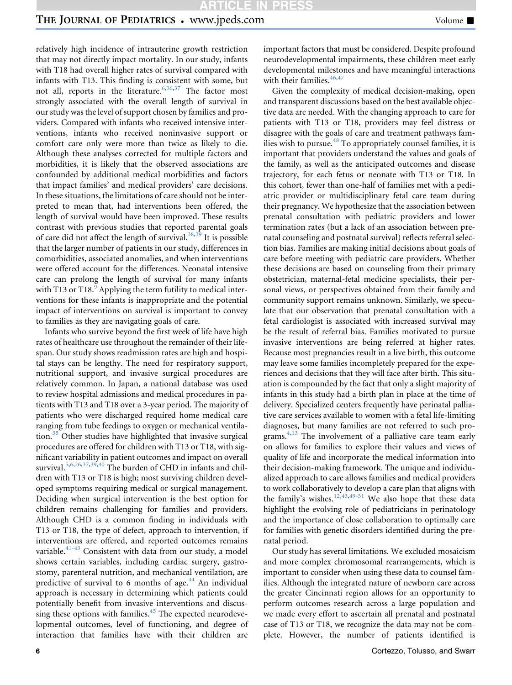## THE JOURNAL OF PEDIATRICS • www.jpeds.com Volume  $\blacksquare$

relatively high incidence of intrauterine growth restriction that may not directly impact mortality. In our study, infants with T18 had overall higher rates of survival compared with infants with T13. This finding is consistent with some, but not all, reports in the literature.<sup>[6](#page-6-22)[,36](#page-7-0)[,37](#page-7-1)</sup> The factor most strongly associated with the overall length of survival in our study was the level of support chosen by families and providers. Compared with infants who received intensive interventions, infants who received noninvasive support or comfort care only were more than twice as likely to die. Although these analyses corrected for multiple factors and morbidities, it is likely that the observed associations are confounded by additional medical morbidities and factors that impact families' and medical providers' care decisions. In these situations, the limitations of care should not be interpreted to mean that, had interventions been offered, the length of survival would have been improved. These results contrast with previous studies that reported parental goals of care did not affect the length of survival.<sup>[38](#page-7-2)[,39](#page-7-3)</sup> It is possible that the larger number of patients in our study, differences in comorbidities, associated anomalies, and when interventions were offered account for the differences. Neonatal intensive care can prolong the length of survival for many infants with T13 or T18. $\degree$  Applying the term futility to medical interventions for these infants is inappropriate and the potential impact of interventions on survival is important to convey to families as they are navigating goals of care.

Infants who survive beyond the first week of life have high rates of healthcare use throughout the remainder of their lifespan. Our study shows readmission rates are high and hospital stays can be lengthy. The need for respiratory support, nutritional support, and invasive surgical procedures are relatively common. In Japan, a national database was used to review hospital admissions and medical procedures in patients with T13 and T18 over a 3-year period. The majority of patients who were discharged required home medical care ranging from tube feedings to oxygen or mechanical ventila-tion.<sup>[35](#page-6-24)</sup> Other studies have highlighted that invasive surgical procedures are offered for children with T13 or T18, with significant variability in patient outcomes and impact on overall survival.<sup>[5](#page-6-1)[,6](#page-6-22)[,26](#page-6-25)[,37,](#page-7-1)[39,](#page-7-3)[40](#page-7-4)</sup> The burden of CHD in infants and children with T13 or T18 is high; most surviving children developed symptoms requiring medical or surgical management. Deciding when surgical intervention is the best option for children remains challenging for families and providers. Although CHD is a common finding in individuals with T13 or T18, the type of defect, approach to intervention, if interventions are offered, and reported outcomes remains variable. $41-43$  Consistent with data from our study, a model shows certain variables, including cardiac surgery, gastrostomy, parenteral nutrition, and mechanical ventilation, are predictive of survival to 6 months of age. $44$  An individual approach is necessary in determining which patients could potentially benefit from invasive interventions and discussing these options with families. $45$  The expected neurodevelopmental outcomes, level of functioning, and degree of interaction that families have with their children are

important factors that must be considered. Despite profound neurodevelopmental impairments, these children meet early developmental milestones and have meaningful interactions with their families. $46,47$  $46,47$  $46,47$ 

Given the complexity of medical decision-making, open and transparent discussions based on the best available objective data are needed. With the changing approach to care for patients with T13 or T18, providers may feel distress or disagree with the goals of care and treatment pathways families wish to pursue.<sup>48</sup> To appropriately counsel families, it is important that providers understand the values and goals of the family, as well as the anticipated outcomes and disease trajectory, for each fetus or neonate with T13 or T18. In this cohort, fewer than one-half of families met with a pediatric provider or multidisciplinary fetal care team during their pregnancy. We hypothesize that the association between prenatal consultation with pediatric providers and lower termination rates (but a lack of an association between prenatal counseling and postnatal survival) reflects referral selection bias. Families are making initial decisions about goals of care before meeting with pediatric care providers. Whether these decisions are based on counseling from their primary obstetrician, maternal-fetal medicine specialists, their personal views, or perspectives obtained from their family and community support remains unknown. Similarly, we speculate that our observation that prenatal consultation with a fetal cardiologist is associated with increased survival may be the result of referral bias. Families motivated to pursue invasive interventions are being referred at higher rates. Because most pregnancies result in a live birth, this outcome may leave some families incompletely prepared for the experiences and decisions that they will face after birth. This situation is compounded by the fact that only a slight majority of infants in this study had a birth plan in place at the time of delivery. Specialized centers frequently have perinatal palliative care services available to women with a fetal life-limiting diagnoses, but many families are not referred to such programs. $4,13$  $4,13$  The involvement of a palliative care team early on allows for families to explore their values and views of quality of life and incorporate the medical information into their decision-making framework. The unique and individualized approach to care allows families and medical providers to work collaboratively to develop a care plan that aligns with the family's wishes.<sup>[12,](#page-6-4)[43](#page-7-10)[,49-51](#page-7-11)</sup> We also hope that these data highlight the evolving role of pediatricians in perinatology and the importance of close collaboration to optimally care for families with genetic disorders identified during the prenatal period.

Our study has several limitations. We excluded mosaicism and more complex chromosomal rearrangements, which is important to consider when using these data to counsel families. Although the integrated nature of newborn care across the greater Cincinnati region allows for an opportunity to perform outcomes research across a large population and we made every effort to ascertain all prenatal and postnatal case of T13 or T18, we recognize the data may not be complete. However, the number of patients identified is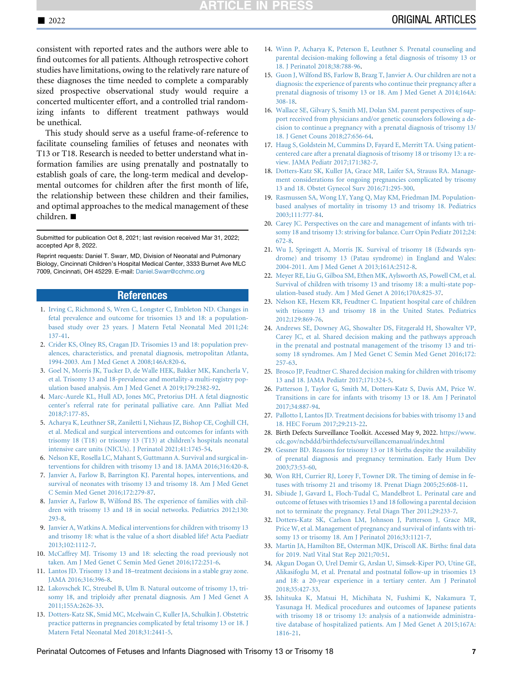# **TICLE IN PRE!**

consistent with reported rates and the authors were able to find outcomes for all patients. Although retrospective cohort studies have limitations, owing to the relatively rare nature of these diagnoses the time needed to complete a comparably sized prospective observational study would require a concerted multicenter effort, and a controlled trial randomizing infants to different treatment pathways would be unethical.

This study should serve as a useful frame-of-reference to facilitate counseling families of fetuses and neonates with T13 or T18. Research is needed to better understand what information families are using prenatally and postnatally to establish goals of care, the long-term medical and developmental outcomes for children after the first month of life, the relationship between these children and their families, and optimal approaches to the medical management of these children.  $\blacksquare$ 

Submitted for publication Oct 8, 2021; last revision received Mar 31, 2022; accepted Apr 8, 2022.

Reprint requests: Daniel T. Swarr, MD, Division of Neonatal and Pulmonary Biology, Cincinnati Children's Hospital Medical Center, 3333 Burnet Ave MLC 7009, Cincinnati, OH 45229. E-mail: [Daniel.Swarr@cchmc.org](mailto:Daniel.Swarr@cchmc.org)

#### References

- <span id="page-6-0"></span>1. [Irving C, Richmond S, Wren C, Longster C, Embleton ND. Changes in](http://refhub.elsevier.com/S0022-3476(22)00324-9/sref1) [fetal prevalence and outcome for trisomies 13 and 18: a population](http://refhub.elsevier.com/S0022-3476(22)00324-9/sref1)[based study over 23 years. J Matern Fetal Neonatal Med 2011;24:](http://refhub.elsevier.com/S0022-3476(22)00324-9/sref1) [137-41](http://refhub.elsevier.com/S0022-3476(22)00324-9/sref1).
- 2. [Crider KS, Olney RS, Cragan JD. Trisomies 13 and 18: population prev](http://refhub.elsevier.com/S0022-3476(22)00324-9/sref2)[alences, characteristics, and prenatal diagnosis, metropolitan Atlanta,](http://refhub.elsevier.com/S0022-3476(22)00324-9/sref2) [1994-2003. Am J Med Genet A 2008;146A:820-6.](http://refhub.elsevier.com/S0022-3476(22)00324-9/sref2)
- <span id="page-6-17"></span>3. [Goel N, Morris JK, Tucker D, de Walle HEK, Bakker MK, Kancherla V,](http://refhub.elsevier.com/S0022-3476(22)00324-9/sref3) [et al. Trisomy 13 and 18-prevalence and mortality-a multi-registry pop](http://refhub.elsevier.com/S0022-3476(22)00324-9/sref3)[ulation based analysis. Am J Med Genet A 2019;179:2382-92.](http://refhub.elsevier.com/S0022-3476(22)00324-9/sref3)
- <span id="page-6-26"></span>4. [Marc-Aurele KL, Hull AD, Jones MC, Pretorius DH. A fetal diagnostic](http://refhub.elsevier.com/S0022-3476(22)00324-9/sref4) [center's referral rate for perinatal palliative care. Ann Palliat Med](http://refhub.elsevier.com/S0022-3476(22)00324-9/sref4) [2018;7:177-85](http://refhub.elsevier.com/S0022-3476(22)00324-9/sref4).
- <span id="page-6-1"></span>5. [Acharya K, Leuthner SR, Zaniletti I, Niehaus JZ, Bishop CE, Coghill CH,](http://refhub.elsevier.com/S0022-3476(22)00324-9/sref5) [et al. Medical and surgical interventions and outcomes for infants with](http://refhub.elsevier.com/S0022-3476(22)00324-9/sref5) [trisomy 18 \(T18\) or trisomy 13 \(T13\) at children's hospitals neonatal](http://refhub.elsevier.com/S0022-3476(22)00324-9/sref5) [intensive care units \(NICUs\). J Perinatol 2021;41:1745-54.](http://refhub.elsevier.com/S0022-3476(22)00324-9/sref5)
- <span id="page-6-22"></span>6. [Nelson KE, Rosella LC, Mahant S, Guttmann A. Survival and surgical in](http://refhub.elsevier.com/S0022-3476(22)00324-9/sref6)[terventions for children with trisomy 13 and 18. JAMA 2016;316:420-8](http://refhub.elsevier.com/S0022-3476(22)00324-9/sref6).
- <span id="page-6-5"></span>7. [Janvier A, Farlow B, Barrington KJ. Parental hopes, interventions, and](http://refhub.elsevier.com/S0022-3476(22)00324-9/sref7) [survival of neonates with trisomy 13 and trisomy 18. Am J Med Genet](http://refhub.elsevier.com/S0022-3476(22)00324-9/sref7) [C Semin Med Genet 2016;172:279-87.](http://refhub.elsevier.com/S0022-3476(22)00324-9/sref7)
- 8. [Janvier A, Farlow B, Wilfond BS. The experience of families with chil](http://refhub.elsevier.com/S0022-3476(22)00324-9/sref8)[dren with trisomy 13 and 18 in social networks. Pediatrics 2012;130:](http://refhub.elsevier.com/S0022-3476(22)00324-9/sref8) [293-8](http://refhub.elsevier.com/S0022-3476(22)00324-9/sref8).
- <span id="page-6-10"></span>9. [Janvier A, Watkins A. Medical interventions for children with trisomy 13](http://refhub.elsevier.com/S0022-3476(22)00324-9/sref9) [and trisomy 18: what is the value of a short disabled life? Acta Paediatr](http://refhub.elsevier.com/S0022-3476(22)00324-9/sref9) [2013;102:1112-7.](http://refhub.elsevier.com/S0022-3476(22)00324-9/sref9)
- <span id="page-6-2"></span>10. [McCaffrey MJ. Trisomy 13 and 18: selecting the road previously not](http://refhub.elsevier.com/S0022-3476(22)00324-9/sref10) [taken. Am J Med Genet C Semin Med Genet 2016;172:251-6](http://refhub.elsevier.com/S0022-3476(22)00324-9/sref10).
- <span id="page-6-3"></span>11. [Lantos JD. Trisomy 13 and 18–treatment decisions in a stable gray zone.](http://refhub.elsevier.com/S0022-3476(22)00324-9/sref11) [JAMA 2016;316:396-8](http://refhub.elsevier.com/S0022-3476(22)00324-9/sref11).
- <span id="page-6-4"></span>12. [Lakovschek IC, Streubel B, Ulm B. Natural outcome of trisomy 13, tri](http://refhub.elsevier.com/S0022-3476(22)00324-9/sref12)[somy 18, and triploidy after prenatal diagnosis. Am J Med Genet A](http://refhub.elsevier.com/S0022-3476(22)00324-9/sref12) [2011;155A:2626-33.](http://refhub.elsevier.com/S0022-3476(22)00324-9/sref12)
- <span id="page-6-27"></span>13. [Dotters-Katz SK, Smid MC, Mcelwain C, Kuller JA, Schulkin J. Obstetric](http://refhub.elsevier.com/S0022-3476(22)00324-9/sref13) [practice patterns in pregnancies complicated by fetal trisomy 13 or 18. J](http://refhub.elsevier.com/S0022-3476(22)00324-9/sref13) [Matern Fetal Neonatal Med 2018;31:2441-5](http://refhub.elsevier.com/S0022-3476(22)00324-9/sref13).
- <span id="page-6-15"></span>14. [Winn P, Acharya K, Peterson E, Leuthner S. Prenatal counseling and](http://refhub.elsevier.com/S0022-3476(22)00324-9/sref14) [parental decision-making following a fetal diagnosis of trisomy 13 or](http://refhub.elsevier.com/S0022-3476(22)00324-9/sref14) [18. J Perinatol 2018;38:788-96.](http://refhub.elsevier.com/S0022-3476(22)00324-9/sref14)
- <span id="page-6-6"></span>15. [Guon J, Wilfond BS, Farlow B, Brazg T, Janvier A. Our children are not a](http://refhub.elsevier.com/S0022-3476(22)00324-9/sref15) [diagnosis: the experience of parents who continue their pregnancy after a](http://refhub.elsevier.com/S0022-3476(22)00324-9/sref15) [prenatal diagnosis of trisomy 13 or 18. Am J Med Genet A 2014;164A:](http://refhub.elsevier.com/S0022-3476(22)00324-9/sref15) [308-18](http://refhub.elsevier.com/S0022-3476(22)00324-9/sref15).
- 16. [Wallace SE, Gilvary S, Smith MJ, Dolan SM. parent perspectives of sup](http://refhub.elsevier.com/S0022-3476(22)00324-9/sref16)[port received from physicians and/or genetic counselors following a de](http://refhub.elsevier.com/S0022-3476(22)00324-9/sref16)[cision to continue a pregnancy with a prenatal diagnosis of trisomy 13/](http://refhub.elsevier.com/S0022-3476(22)00324-9/sref16) [18. J Genet Couns 2018;27:656-64.](http://refhub.elsevier.com/S0022-3476(22)00324-9/sref16)
- <span id="page-6-11"></span>17. [Haug S, Goldstein M, Cummins D, Fayard E, Merritt TA. Using patient](http://refhub.elsevier.com/S0022-3476(22)00324-9/sref17)[centered care after a prenatal diagnosis of trisomy 18 or trisomy 13: a re](http://refhub.elsevier.com/S0022-3476(22)00324-9/sref17)[view. JAMA Pediatr 2017;171:382-7.](http://refhub.elsevier.com/S0022-3476(22)00324-9/sref17)
- <span id="page-6-7"></span>18. [Dotters-Katz SK, Kuller JA, Grace MR, Laifer SA, Strauss RA. Manage](http://refhub.elsevier.com/S0022-3476(22)00324-9/sref18)[ment considerations for ongoing pregnancies complicated by trisomy](http://refhub.elsevier.com/S0022-3476(22)00324-9/sref18) [13 and 18. Obstet Gynecol Surv 2016;71:295-300](http://refhub.elsevier.com/S0022-3476(22)00324-9/sref18).
- <span id="page-6-8"></span>19. [Rasmussen SA, Wong LY, Yang Q, May KM, Friedman JM. Population](http://refhub.elsevier.com/S0022-3476(22)00324-9/sref19)[based analyses of mortality in trisomy 13 and trisomy 18. Pediatrics](http://refhub.elsevier.com/S0022-3476(22)00324-9/sref19) [2003;111:777-84.](http://refhub.elsevier.com/S0022-3476(22)00324-9/sref19)
- <span id="page-6-12"></span>20. [Carey JC. Perspectives on the care and management of infants with tri](http://refhub.elsevier.com/S0022-3476(22)00324-9/sref20)[somy 18 and trisomy 13: striving for balance. Curr Opin Pediatr 2012;24:](http://refhub.elsevier.com/S0022-3476(22)00324-9/sref20) [672-8](http://refhub.elsevier.com/S0022-3476(22)00324-9/sref20).
- 21. [Wu J, Springett A, Morris JK. Survival of trisomy 18 \(Edwards syn](http://refhub.elsevier.com/S0022-3476(22)00324-9/sref21)[drome\) and trisomy 13 \(Patau syndrome\) in England and Wales:](http://refhub.elsevier.com/S0022-3476(22)00324-9/sref21) [2004-2011. Am J Med Genet A 2013;161A:2512-8](http://refhub.elsevier.com/S0022-3476(22)00324-9/sref21).
- 22. [Meyer RE, Liu G, Gilboa SM, Ethen MK, Aylsworth AS, Powell CM, et al.](http://refhub.elsevier.com/S0022-3476(22)00324-9/sref22) [Survival of children with trisomy 13 and trisomy 18: a multi-state pop](http://refhub.elsevier.com/S0022-3476(22)00324-9/sref22)[ulation-based study. Am J Med Genet A 2016;170A:825-37](http://refhub.elsevier.com/S0022-3476(22)00324-9/sref22).
- <span id="page-6-9"></span>23. [Nelson KE, Hexem KR, Feudtner C. Inpatient hospital care of children](http://refhub.elsevier.com/S0022-3476(22)00324-9/sref23) [with trisomy 13 and trisomy 18 in the United States. Pediatrics](http://refhub.elsevier.com/S0022-3476(22)00324-9/sref23) [2012;129:869-76.](http://refhub.elsevier.com/S0022-3476(22)00324-9/sref23)
- <span id="page-6-13"></span>24. [Andrews SE, Downey AG, Showalter DS, Fitzgerald H, Showalter VP,](http://refhub.elsevier.com/S0022-3476(22)00324-9/sref24) [Carey JC, et al. Shared decision making and the pathways approach](http://refhub.elsevier.com/S0022-3476(22)00324-9/sref24) [in the prenatal and postnatal management of the trisomy 13 and tri](http://refhub.elsevier.com/S0022-3476(22)00324-9/sref24)[somy 18 syndromes. Am J Med Genet C Semin Med Genet 2016;172:](http://refhub.elsevier.com/S0022-3476(22)00324-9/sref24) [257-63.](http://refhub.elsevier.com/S0022-3476(22)00324-9/sref24)
- 25. [Brosco JP, Feudtner C. Shared decision making for children with trisomy](http://refhub.elsevier.com/S0022-3476(22)00324-9/sref25) [13 and 18. JAMA Pediatr 2017;171:324-5](http://refhub.elsevier.com/S0022-3476(22)00324-9/sref25).
- <span id="page-6-25"></span>26. [Patterson J, Taylor G, Smith M, Dotters-Katz S, Davis AM, Price W.](http://refhub.elsevier.com/S0022-3476(22)00324-9/sref26) [Transitions in care for infants with trisomy 13 or 18. Am J Perinatol](http://refhub.elsevier.com/S0022-3476(22)00324-9/sref26) [2017;34:887-94.](http://refhub.elsevier.com/S0022-3476(22)00324-9/sref26)
- 27. [Pallotto I, Lantos JD. Treatment decisions for babies with trisomy 13 and](http://refhub.elsevier.com/S0022-3476(22)00324-9/sref27) [18. HEC Forum 2017;29:213-22.](http://refhub.elsevier.com/S0022-3476(22)00324-9/sref27)
- <span id="page-6-14"></span>28. Birth Defects Surveillance Toolkit. Accessed May 9, 2022. [https://www.](https://www.cdc.gov/ncbddd/birthdefects/surveillancemanual/index.html) [cdc.gov/ncbddd/birthdefects/surveillancemanual/index.html](https://www.cdc.gov/ncbddd/birthdefects/surveillancemanual/index.html)
- <span id="page-6-16"></span>29. [Gessner BD. Reasons for trisomy 13 or 18 births despite the availability](http://refhub.elsevier.com/S0022-3476(22)00324-9/sref29) [of prenatal diagnosis and pregnancy termination. Early Hum Dev](http://refhub.elsevier.com/S0022-3476(22)00324-9/sref29) [2003;73:53-60.](http://refhub.elsevier.com/S0022-3476(22)00324-9/sref29)
- <span id="page-6-18"></span>30. [Won RH, Currier RJ, Lorey F, Towner DR. The timing of demise in fe](http://refhub.elsevier.com/S0022-3476(22)00324-9/sref30)[tuses with trisomy 21 and trisomy 18. Prenat Diagn 2005;25:608-11](http://refhub.elsevier.com/S0022-3476(22)00324-9/sref30).
- <span id="page-6-19"></span>31. [Sibiude J, Gavard L, Floch-Tudal C, Mandelbrot L. Perinatal care and](http://refhub.elsevier.com/S0022-3476(22)00324-9/sref31) [outcome of fetuses with trisomies 13 and 18 following a parental decision](http://refhub.elsevier.com/S0022-3476(22)00324-9/sref31) [not to terminate the pregnancy. Fetal Diagn Ther 2011;29:233-7](http://refhub.elsevier.com/S0022-3476(22)00324-9/sref31).
- <span id="page-6-20"></span>32. [Dotters-Katz SK, Carlson LM, Johnson J, Patterson J, Grace MR,](http://refhub.elsevier.com/S0022-3476(22)00324-9/sref32) [Price W, et al. Management of pregnancy and survival of infants with tri](http://refhub.elsevier.com/S0022-3476(22)00324-9/sref32)[somy 13 or trisomy 18. Am J Perinatol 2016;33:1121-7.](http://refhub.elsevier.com/S0022-3476(22)00324-9/sref32)
- <span id="page-6-21"></span>33. [Martin JA, Hamilton BE, Osterman MJK, Driscoll AK. Births: final data](http://refhub.elsevier.com/S0022-3476(22)00324-9/sref33) [for 2019. Natl Vital Stat Rep 2021;70:51](http://refhub.elsevier.com/S0022-3476(22)00324-9/sref33).
- <span id="page-6-23"></span>34. [Akgun Dogan O, Urel Demir G, Arslan U, Simsek-Kiper PO, Utine GE,](http://refhub.elsevier.com/S0022-3476(22)00324-9/sref34) [Alikasifoglu M, et al. Prenatal and postnatal follow-up in trisomies 13](http://refhub.elsevier.com/S0022-3476(22)00324-9/sref34) [and 18: a 20-year experience in a tertiary center. Am J Perinatol](http://refhub.elsevier.com/S0022-3476(22)00324-9/sref34) [2018;35:427-33.](http://refhub.elsevier.com/S0022-3476(22)00324-9/sref34)
- <span id="page-6-24"></span>35. [Ishitsuka K, Matsui H, Michihata N, Fushimi K, Nakamura T,](http://refhub.elsevier.com/S0022-3476(22)00324-9/sref35) [Yasunaga H. Medical procedures and outcomes of Japanese patients](http://refhub.elsevier.com/S0022-3476(22)00324-9/sref35) [with trisomy 18 or trisomy 13: analysis of a nationwide administra](http://refhub.elsevier.com/S0022-3476(22)00324-9/sref35)[tive database of hospitalized patients. Am J Med Genet A 2015;167A:](http://refhub.elsevier.com/S0022-3476(22)00324-9/sref35) [1816-21](http://refhub.elsevier.com/S0022-3476(22)00324-9/sref35).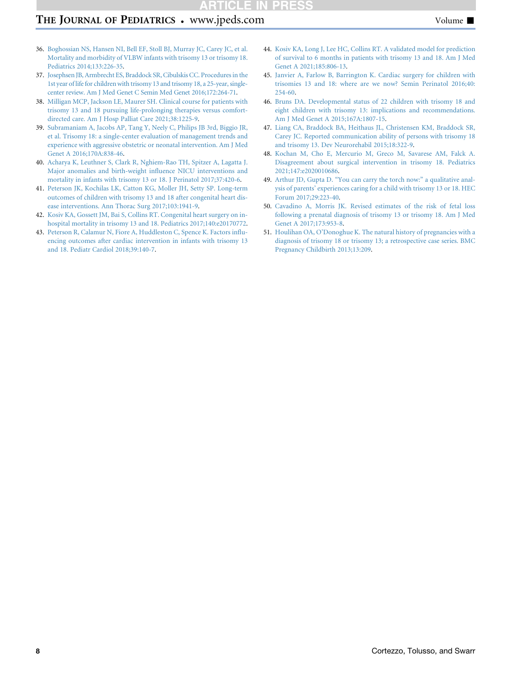# THE JOURNAL OF PEDIATRICS • www.jpeds.com Volume  $\blacksquare$

- <span id="page-7-0"></span>36. [Boghossian NS, Hansen NI, Bell EF, Stoll BJ, Murray JC, Carey JC, et al.](http://refhub.elsevier.com/S0022-3476(22)00324-9/sref36) [Mortality and morbidity of VLBW infants with trisomy 13 or trisomy 18.](http://refhub.elsevier.com/S0022-3476(22)00324-9/sref36) [Pediatrics 2014;133:226-35](http://refhub.elsevier.com/S0022-3476(22)00324-9/sref36).
- <span id="page-7-1"></span>37. [Josephsen JB, Armbrecht ES, Braddock SR, Cibulskis CC. Procedures in the](http://refhub.elsevier.com/S0022-3476(22)00324-9/sref37) [1st year of life for children with trisomy 13 and trisomy 18, a 25-year, single](http://refhub.elsevier.com/S0022-3476(22)00324-9/sref37)[center review. Am J Med Genet C Semin Med Genet 2016;172:264-71.](http://refhub.elsevier.com/S0022-3476(22)00324-9/sref37)
- <span id="page-7-2"></span>38. [Milligan MCP, Jackson LE, Maurer SH. Clinical course for patients with](http://refhub.elsevier.com/S0022-3476(22)00324-9/sref38) [trisomy 13 and 18 pursuing life-prolonging therapies versus comfort](http://refhub.elsevier.com/S0022-3476(22)00324-9/sref38)[directed care. Am J Hosp Palliat Care 2021;38:1225-9.](http://refhub.elsevier.com/S0022-3476(22)00324-9/sref38)
- <span id="page-7-3"></span>39. [Subramaniam A, Jacobs AP, Tang Y, Neely C, Philips JB 3rd, Biggio JR,](http://refhub.elsevier.com/S0022-3476(22)00324-9/sref39) [et al. Trisomy 18: a single-center evaluation of management trends and](http://refhub.elsevier.com/S0022-3476(22)00324-9/sref39) [experience with aggressive obstetric or neonatal intervention. Am J Med](http://refhub.elsevier.com/S0022-3476(22)00324-9/sref39) [Genet A 2016;170A:838-46](http://refhub.elsevier.com/S0022-3476(22)00324-9/sref39).
- <span id="page-7-4"></span>40. [Acharya K, Leuthner S, Clark R, Nghiem-Rao TH, Spitzer A, Lagatta J.](http://refhub.elsevier.com/S0022-3476(22)00324-9/sref40) [Major anomalies and birth-weight influence NICU interventions and](http://refhub.elsevier.com/S0022-3476(22)00324-9/sref40) [mortality in infants with trisomy 13 or 18. J Perinatol 2017;37:420-6](http://refhub.elsevier.com/S0022-3476(22)00324-9/sref40).
- <span id="page-7-5"></span>41. [Peterson JK, Kochilas LK, Catton KG, Moller JH, Setty SP. Long-term](http://refhub.elsevier.com/S0022-3476(22)00324-9/sref41) [outcomes of children with trisomy 13 and 18 after congenital heart dis](http://refhub.elsevier.com/S0022-3476(22)00324-9/sref41)[ease interventions. Ann Thorac Surg 2017;103:1941-9](http://refhub.elsevier.com/S0022-3476(22)00324-9/sref41).
- 42. [Kosiv KA, Gossett JM, Bai S, Collins RT. Congenital heart surgery on in](http://refhub.elsevier.com/S0022-3476(22)00324-9/sref42)[hospital mortality in trisomy 13 and 18. Pediatrics 2017;140:e20170772](http://refhub.elsevier.com/S0022-3476(22)00324-9/sref42).
- <span id="page-7-10"></span>43. [Peterson R, Calamur N, Fiore A, Huddleston C, Spence K. Factors influ](http://refhub.elsevier.com/S0022-3476(22)00324-9/sref43)[encing outcomes after cardiac intervention in infants with trisomy 13](http://refhub.elsevier.com/S0022-3476(22)00324-9/sref43) [and 18. Pediatr Cardiol 2018;39:140-7.](http://refhub.elsevier.com/S0022-3476(22)00324-9/sref43)
- <span id="page-7-6"></span>44. [Kosiv KA, Long J, Lee HC, Collins RT. A validated model for prediction](http://refhub.elsevier.com/S0022-3476(22)00324-9/sref44) [of survival to 6 months in patients with trisomy 13 and 18. Am J Med](http://refhub.elsevier.com/S0022-3476(22)00324-9/sref44) [Genet A 2021;185:806-13](http://refhub.elsevier.com/S0022-3476(22)00324-9/sref44).
- <span id="page-7-7"></span>45. [Janvier A, Farlow B, Barrington K. Cardiac surgery for children with](http://refhub.elsevier.com/S0022-3476(22)00324-9/sref45) [trisomies 13 and 18: where are we now? Semin Perinatol 2016;40:](http://refhub.elsevier.com/S0022-3476(22)00324-9/sref45) [254-60.](http://refhub.elsevier.com/S0022-3476(22)00324-9/sref45)
- <span id="page-7-8"></span>46. [Bruns DA. Developmental status of 22 children with trisomy 18 and](http://refhub.elsevier.com/S0022-3476(22)00324-9/sref46) [eight children with trisomy 13: implications and recommendations.](http://refhub.elsevier.com/S0022-3476(22)00324-9/sref46) [Am J Med Genet A 2015;167A:1807-15.](http://refhub.elsevier.com/S0022-3476(22)00324-9/sref46)
- <span id="page-7-9"></span>47. [Liang CA, Braddock BA, Heithaus JL, Christensen KM, Braddock SR,](http://refhub.elsevier.com/S0022-3476(22)00324-9/sref47) [Carey JC. Reported communication ability of persons with trisomy 18](http://refhub.elsevier.com/S0022-3476(22)00324-9/sref47) [and trisomy 13. Dev Neurorehabil 2015;18:322-9.](http://refhub.elsevier.com/S0022-3476(22)00324-9/sref47)
- 48. [Kochan M, Cho E, Mercurio M, Greco M, Savarese AM, Falck A.](http://refhub.elsevier.com/S0022-3476(22)00324-9/sref48) [Disagreement about surgical intervention in trisomy 18. Pediatrics](http://refhub.elsevier.com/S0022-3476(22)00324-9/sref48) [2021;147:e2020010686](http://refhub.elsevier.com/S0022-3476(22)00324-9/sref48).
- <span id="page-7-11"></span>49. [Arthur JD, Gupta D. "You can carry the torch now:" a qualitative anal](http://refhub.elsevier.com/S0022-3476(22)00324-9/sref49)[ysis of parents' experiences caring for a child with trisomy 13 or 18. HEC](http://refhub.elsevier.com/S0022-3476(22)00324-9/sref49) [Forum 2017;29:223-40](http://refhub.elsevier.com/S0022-3476(22)00324-9/sref49).
- 50. [Cavadino A, Morris JK. Revised estimates of the risk of fetal loss](http://refhub.elsevier.com/S0022-3476(22)00324-9/sref50) [following a prenatal diagnosis of trisomy 13 or trisomy 18. Am J Med](http://refhub.elsevier.com/S0022-3476(22)00324-9/sref50) [Genet A 2017;173:953-8.](http://refhub.elsevier.com/S0022-3476(22)00324-9/sref50)
- 51. [Houlihan OA, O'Donoghue K. The natural history of pregnancies with a](http://refhub.elsevier.com/S0022-3476(22)00324-9/sref51) [diagnosis of trisomy 18 or trisomy 13; a retrospective case series. BMC](http://refhub.elsevier.com/S0022-3476(22)00324-9/sref51) [Pregnancy Childbirth 2013;13:209.](http://refhub.elsevier.com/S0022-3476(22)00324-9/sref51)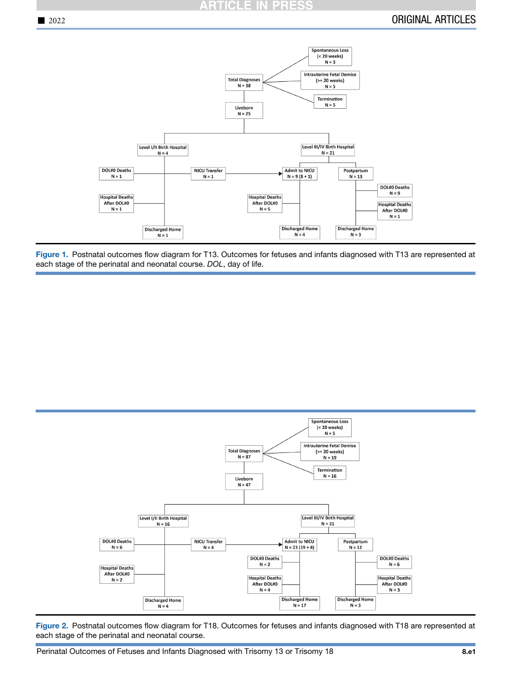### **ARTICLE IN PRESS**

<span id="page-8-0"></span>

Figure 1. Postnatal outcomes flow diagram for T13. Outcomes for fetuses and infants diagnosed with T13 are represented at each stage of the perinatal and neonatal course. *DOL*, day of life.

<span id="page-8-1"></span>

Figure 2. Postnatal outcomes flow diagram for T18. Outcomes for fetuses and infants diagnosed with T18 are represented at each stage of the perinatal and neonatal course.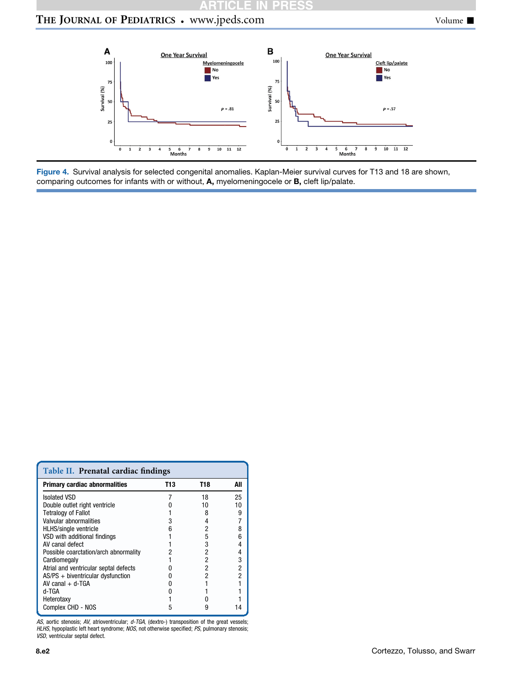# **ARTICLE IN PRESS**

# <span id="page-9-1"></span>THE JOURNAL OF PEDIATRICS . www.jpeds.com Volume  $\blacksquare$



Figure 4. Survival analysis for selected congenital anomalies. Kaplan-Meier survival curves for T13 and 18 are shown, comparing outcomes for infants with or without, A, myelomeningocele or B, cleft lip/palate.

<span id="page-9-0"></span>

| Table II. Prenatal cardiac findings   |     |     |     |  |  |
|---------------------------------------|-----|-----|-----|--|--|
| <b>Primary cardiac abnormalities</b>  | T13 | T18 | All |  |  |
| <b>Isolated VSD</b>                   |     | 18  | 25  |  |  |
| Double outlet right ventricle         |     | 10  | 10  |  |  |
| <b>Tetralogy of Fallot</b>            |     | 8   | 9   |  |  |
| Valvular abnormalities                | 3   | 4   |     |  |  |
| <b>HLHS/single ventricle</b>          | 6   | 2   | 8   |  |  |
| VSD with additional findings          |     | 5   | 6   |  |  |
| AV canal defect                       |     | 3   |     |  |  |
| Possible coarctation/arch abnormality |     | 2   | 4   |  |  |
| Cardiomegaly                          |     | 2   | 3   |  |  |
| Atrial and ventricular septal defects |     | 2   | 2   |  |  |
| $AS/PS + biventricular$ dysfunction   |     | 2   | 2   |  |  |
| $AV$ canal $+$ d-TGA                  |     |     |     |  |  |
| d-TGA                                 |     |     |     |  |  |
| Heterotaxy                            |     |     |     |  |  |
| Complex CHD - NOS                     | 5   | 9   |     |  |  |

AS, aortic stenosis; AV, atrioventricular; d-TGA, (dextro-) transposition of the great vessels;<br>HLHS, hypoplastic left heart syndrome; NOS, not otherwise specified; PS, pulmonary stenosis;<br>VSD, ventricular septal defect.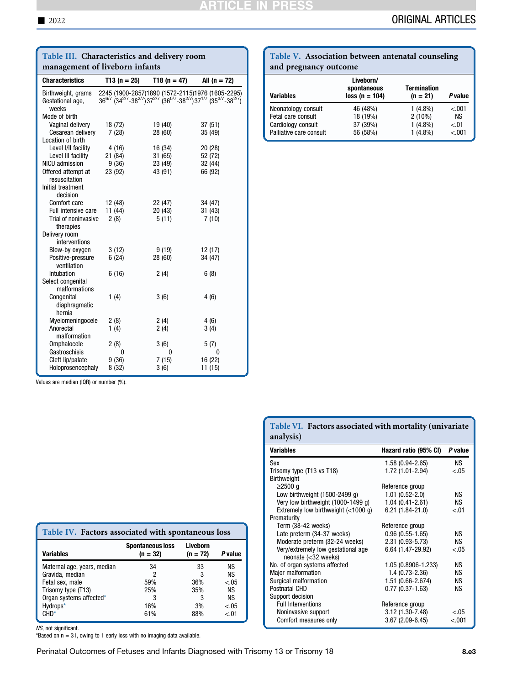# <u>ARTICLE IN PRESS</u>

<span id="page-10-0"></span>

| Table III. Characteristics and delivery room                   |                           |                                                                                                                                                                                                                                   |                             |  |  |
|----------------------------------------------------------------|---------------------------|-----------------------------------------------------------------------------------------------------------------------------------------------------------------------------------------------------------------------------------|-----------------------------|--|--|
| management of liveborn infants                                 |                           |                                                                                                                                                                                                                                   |                             |  |  |
| <b>Characteristics</b>                                         | $T13(n = 25)$             | T18 (n = 47)                                                                                                                                                                                                                      | All $(n = 72)$              |  |  |
| Birthweight, grams<br>Gestational age,<br>weeks                |                           | 2245 (1900-2857)1890 (1572-2115)1976 (1605-2295)<br>36 <sup>6/7</sup> (34 <sup>2/7</sup> -38 <sup>2/7</sup> ) 37 <sup>2/7</sup> (36 <sup>0/7</sup> -38 <sup>2/7</sup> ) 37 <sup>1/7</sup> (35 <sup>3/7</sup> -38 <sup>2/7</sup> ) |                             |  |  |
| Mode of birth<br>Vaginal delivery<br>Cesarean delivery         | 18 (72)<br>7(28)          | 19 (40)<br>28 (60)                                                                                                                                                                                                                | 37(51)<br>35 (49)           |  |  |
| Location of birth<br>Level I/II facility<br>Level III facility | 4(16)<br>21 (84)          | 16 (34)<br>31 (65)                                                                                                                                                                                                                | 20 (28)<br>52 (72)          |  |  |
| <b>NICU</b> admission<br>Offered attempt at<br>resuscitation   | 9(36)<br>23 (92)          | 23 (49)<br>43 (91)                                                                                                                                                                                                                | 32 (44)<br>66 (92)          |  |  |
| Initial treatment<br>decision                                  |                           |                                                                                                                                                                                                                                   |                             |  |  |
| Comfort care<br>Full intensive care<br>Trial of noninvasive    | 12 (48)<br>11(44)<br>2(8) | 22 (47)<br>20 (43)<br>5(11)                                                                                                                                                                                                       | 34 (47)<br>31 (43)<br>7(10) |  |  |
| therapies<br>Delivery room<br>interventions                    |                           |                                                                                                                                                                                                                                   |                             |  |  |
| Blow-by oxygen<br>Positive-pressure<br>ventilation             | 3(12)<br>6(24)            | 9(19)<br>28 (60)                                                                                                                                                                                                                  | 12 (17)<br>34 (47)          |  |  |
| Intubation<br>Select congenital<br>malformations               | 6(16)                     | 2(4)                                                                                                                                                                                                                              | 6(8)                        |  |  |
| Congenital<br>diaphragmatic<br>hernia                          | 1(4)                      | 3(6)                                                                                                                                                                                                                              | 4(6)                        |  |  |
| Myelomeningocele<br>Anorectal<br>malformation                  | 2(8)<br>1(4)              | 2(4)<br>2(4)                                                                                                                                                                                                                      | 4(6)<br>3(4)                |  |  |
| Omphalocele<br>Gastroschisis                                   | 2(8)<br>0                 | 3(6)<br>0                                                                                                                                                                                                                         | 5(7)<br>0                   |  |  |
| Cleft lip/palate<br>Holoprosencephaly                          | 9(36)<br>8(32)            | 7(15)<br>3(6)                                                                                                                                                                                                                     | 16 (22)<br>11 (15)          |  |  |

<span id="page-10-2"></span>

| Table V. Association between antenatal counseling |  |  |
|---------------------------------------------------|--|--|
| and pregnancy outcome                             |  |  |

| <b>Variables</b>                                                                           | Liveborn/<br>spontaneous<br>$loss (n = 104)$ | <b>Termination</b><br>$(n = 21)$                    | P value                                   |
|--------------------------------------------------------------------------------------------|----------------------------------------------|-----------------------------------------------------|-------------------------------------------|
| Neonatology consult<br>Fetal care consult<br>Cardiology consult<br>Palliative care consult | 46 (48%)<br>18 (19%)<br>37 (39%)<br>56 (58%) | $1(4.8\%)$<br>$2(10\%)$<br>$1(4.8\%)$<br>$1(4.8\%)$ | $-.001$<br><b>NS</b><br>$-.01$<br>$-.001$ |

|  |  | Values are median (IQR) or number (%). |  |
|--|--|----------------------------------------|--|
|  |  |                                        |  |

<span id="page-10-1"></span>

| Table IV. Factors associated with spontaneous loss |                                       |                        |                |  |  |
|----------------------------------------------------|---------------------------------------|------------------------|----------------|--|--|
| <b>Variables</b>                                   | <b>Spontaneous loss</b><br>$(n = 32)$ | Liveborn<br>$(n = 72)$ | <b>P</b> value |  |  |
| Maternal age, years, median                        | 34                                    | 33                     | NS             |  |  |
| Gravida, median                                    | 2                                     | 3                      | ΝS             |  |  |
| Fetal sex, male                                    | 59%                                   | 36%                    | $-.05$         |  |  |
| Trisomy type (T13)                                 | 25%                                   | 35%                    | <b>NS</b>      |  |  |
| Organ systems affected*                            | 3                                     | 3                      | <b>NS</b>      |  |  |
| Hydrops*                                           | 16%                                   | 3%                     | $-.05$         |  |  |
| $CHD*$                                             | 61%                                   | 88%                    | < 01           |  |  |

NS, not significant. \*Based on n = 31, owing to 1 early loss with no imaging data available.

Perinatal Outcomes of Fetuses and Infants Diagnosed with Trisomy 13 or Trisomy 18 8. Asset and search and the

<span id="page-10-3"></span>

|           | Table VI. Factors associated with mortality (univariate |
|-----------|---------------------------------------------------------|
| analysis) |                                                         |

| <b>Variables</b>                                             | Hazard ratio (95% CI) | P value   |
|--------------------------------------------------------------|-----------------------|-----------|
| Sex                                                          | 1.58 (0.94-2.65)      | <b>NS</b> |
| Trisomy type (T13 vs T18)                                    | 1.72 (1.01-2.94)      | $-.05$    |
| <b>Birthweight</b>                                           |                       |           |
| $\geq$ 2500 q                                                | Reference group       |           |
| Low birthweight $(1500-2499)$ q)                             | $1.01(0.52-2.0)$      | ΝS        |
| Very low birthweight (1000-1499 g)                           | $1.04(0.41 - 2.61)$   | <b>NS</b> |
| Extremely low birthweight $(<1000 q$ )                       | $6.21(1.84-21.0)$     | $-.01$    |
| Prematurity                                                  |                       |           |
| Term (38-42 weeks)                                           | Reference group       |           |
| Late preterm (34-37 weeks)                                   | $0.96(0.55-1.65)$     | ΝS        |
| Moderate preterm (32-24 weeks)                               | 2.31 (0.93-5.73)      | <b>NS</b> |
| Very/extremely low gestational age<br>neonate $(<$ 32 weeks) | 6.64 (1.47-29.92)     | $-.05$    |
| No. of organ systems affected                                | 1.05 (0.8906-1.233)   | ΝS        |
| Major malformation                                           | $1.4(0.73-2.36)$      | ΝS        |
| Surgical malformation                                        | 1.51 (0.66-2.674)     | <b>NS</b> |
| Postnatal CHD                                                | $0.77(0.37-1.63)$     | <b>NS</b> |
| Support decision                                             |                       |           |
| <b>Full Interventions</b>                                    | Reference group       |           |
| Noninvasive support                                          | 3.12 (1.30-7.48)      | $-.05$    |
| Comfort measures only                                        | $3.67(2.09-6.45)$     | < .001    |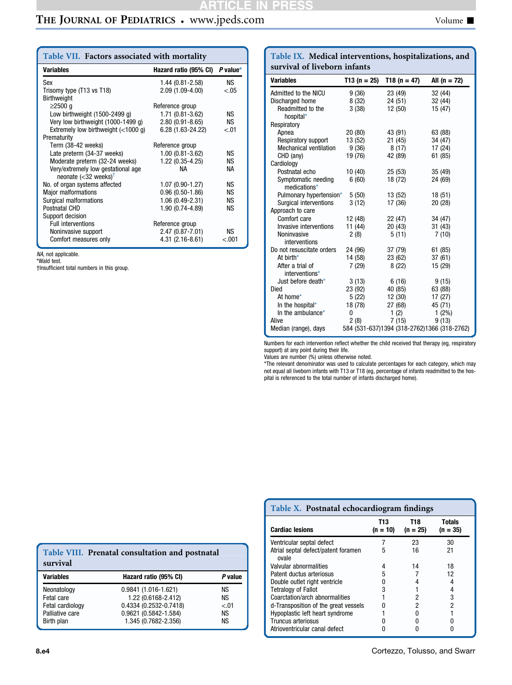# **ARTICLE IN PRESS**

# THE JOURNAL OF PEDIATRICS . www.jpeds.com Volume  $\blacksquare$

<span id="page-11-0"></span>

| Table VII. Factors associated with mortality                             |                       |            |  |  |
|--------------------------------------------------------------------------|-----------------------|------------|--|--|
| <b>Variables</b>                                                         | Hazard ratio (95% CI) | $P$ value* |  |  |
| Sex                                                                      | $1.44(0.81 - 2.58)$   | NS.        |  |  |
| Trisomy type (T13 vs T18)                                                | 2.09 (1.09-4.00)      | $-.05$     |  |  |
| <b>Birthweight</b>                                                       |                       |            |  |  |
| $\geq$ 2500 q                                                            | Reference group       |            |  |  |
| Low birthweight $(1500-2499q)$                                           | 1.71 (0.81-3.62)      | NS.        |  |  |
| Very low birthweight (1000-1499 g)                                       | $2.80(0.91 - 8.65)$   | <b>NS</b>  |  |  |
| Extremely low birthweight $(<1000 q$ )                                   | 6.28 (1.63-24.22)     | < 01       |  |  |
| Prematurity                                                              |                       |            |  |  |
| Term (38-42 weeks)                                                       | Reference group       |            |  |  |
| Late preterm (34-37 weeks)                                               | $1.00(0.81 - 3.62)$   | ΝS         |  |  |
| Moderate preterm (32-24 weeks)                                           | 1.22 (0.35-4.25)      | <b>NS</b>  |  |  |
| Very/extremely low gestational age<br>neonate $(<32$ weeks) <sup>†</sup> | <b>NA</b>             | <b>NA</b>  |  |  |
| No. of organ systems affected                                            | 1.07 (0.90-1.27)      | <b>NS</b>  |  |  |
| <b>Major malformations</b>                                               | $0.96(0.50-1.86)$     | <b>NS</b>  |  |  |
| Surgical malformations                                                   | $1.06(0.49-2.31)$     | <b>NS</b>  |  |  |
| Postnatal CHD                                                            | 1.90 (0.74-4.89)      | ΝS         |  |  |
| Support decision                                                         |                       |            |  |  |
| <b>Full interventions</b>                                                | Reference group       |            |  |  |
| Noninvasive support                                                      | 2.47 (0.87-7.01)      | ΝS         |  |  |
| Comfort measures only                                                    | $4.31(2.16-8.61)$     | < .001     |  |  |

NA, not applicable. \*Wald test.

†Insufficient total numbers in this group.

#### <span id="page-11-2"></span>Table IX. Medical interventions, hospitalizations, and survival of liveborn infants

| <b>Variables</b>               | T13 (n = $25$ ) | T18 (n = 47) | All $(n = 72)$                              |
|--------------------------------|-----------------|--------------|---------------------------------------------|
| Admitted to the NICU           | 9(36)           | 23 (49)      | 32 (44)                                     |
| Discharged home                | 8(32)           | 24 (51)      | 32 (44)                                     |
| Readmitted to the<br>hospital* | 3(38)           | 12(50)       | 15 (47)                                     |
| Respiratory                    |                 |              |                                             |
| Apnea                          | 20(80)          | 43 (91)      | 63 (88)                                     |
| Respiratory support            | 13 (52)         | 21(45)       | 34 (47)                                     |
| <b>Mechanical ventilation</b>  | 9(36)           | 8(17)        | 17 (24)                                     |
| CHD (any)                      | 19 (76)         | 42 (89)      | 61 (85)                                     |
| Cardiology                     |                 |              |                                             |
| Postnatal echo                 | 10(40)          | 25(53)       | 35(49)                                      |
| Symptomatic needing            | 6(60)           | 18 (72)      | 24 (69)                                     |
| medications*                   |                 |              |                                             |
| Pulmonary hypertension*        | 5(50)           | 13 (52)      | 18(51)                                      |
| Surgical interventions         | 3(12)           | 17 (36)      | 20(28)                                      |
| Approach to care               |                 |              |                                             |
| Comfort care                   | 12 (48)         | 22 (47)      | 34 (47)                                     |
| Invasive interventions         | 11 (44)         | 20(43)       | 31(43)                                      |
| Noninvasive                    | 2(8)            | 5(11)        | 7(10)                                       |
| interventions                  |                 |              |                                             |
| Do not resuscitate orders      | 24 (96)         | 37 (79)      | 61 (85)                                     |
| At birth $*$                   | 14 (58)         | 23 (62)      | 37(61)                                      |
| After a trial of               | 7(29)           | 8(22)        | 15 (29)                                     |
| interventions*                 |                 |              |                                             |
| Just before death*             | 3(13)           | 6(16)        | 9(15)                                       |
| Died                           | 23 (92)         | 40 (85)      | 63 (88)                                     |
| At home*                       | 5 (22)          | 12(30)       | 17(27)                                      |
| In the hospital*               | 18 (78)         | 27 (68)      | 45 (71)                                     |
| In the ambulance*              | 0               | 1(2)         | $1(2\%)$                                    |
| Alive                          | 2(8)            | 7(15)        | 9(13)                                       |
| Median (range), days           |                 |              | 584 (531-637)1394 (318-2762)1366 (318-2762) |

Numbers for each intervention reflect whether the child received that therapy (eg, respiratory support) at any point during their life.

Values are number (%) unless otherwise noted. \*The relevant denominator was used to calculate percentages for each category, which may not equal all liveborn infants with T13 or T18 (eg, percentage of infants readmitted to the hos-pital is referenced to the total number of infants discharged home).

<span id="page-11-1"></span>

| survival         | Table VIII. Prenatal consultation and postnatal |         |  |  |
|------------------|-------------------------------------------------|---------|--|--|
| <b>Variables</b> | Hazard ratio (95% CI)                           | P value |  |  |
| Neonatology      | 0.9841 (1.016-1.621)                            | NS.     |  |  |
| Fetal care       | 1.22 (0.6168-2.412)                             | ΝS      |  |  |
| Fetal cardiology | 0.4334 (0.2532-0.7418)                          | $-.01$  |  |  |

Palliative care  $\begin{array}{ccc} 0.9621 & (0.5842 - 1.584) & \text{NS} \\ \text{Birth plan} & 1.345 & (0.7682 - 2.356) & \text{NS} \end{array}$  $1.345 (0.7682 - 2.356)$ 

<span id="page-11-3"></span>

| Table X. Postnatal echocardiogram findings   |                    |                   |                             |  |  |  |  |  |
|----------------------------------------------|--------------------|-------------------|-----------------------------|--|--|--|--|--|
| <b>Cardiac lesions</b>                       | T13.<br>$(n = 10)$ | T18<br>$(n = 25)$ | <b>Totals</b><br>$(n = 35)$ |  |  |  |  |  |
| Ventricular septal defect                    |                    | 23                | 30                          |  |  |  |  |  |
| Atrial septal defect/patent foramen<br>ovale | 5                  | 16                | 21                          |  |  |  |  |  |
| Valvular abnormalities                       | 4                  | 14                | 18                          |  |  |  |  |  |
| Patent ductus arteriosus                     | 5                  |                   | 12                          |  |  |  |  |  |
| Double outlet right ventricle                |                    |                   |                             |  |  |  |  |  |
| <b>Tetralogy of Fallot</b>                   | 3                  |                   |                             |  |  |  |  |  |
| Coarctation/arch abnormalities               |                    | 2                 | 3                           |  |  |  |  |  |
| d-Transposition of the great vessels         |                    | 2                 | 2                           |  |  |  |  |  |
| Hypoplastic left heart syndrome              |                    |                   |                             |  |  |  |  |  |
| Truncus arteriosus                           |                    |                   |                             |  |  |  |  |  |
| Atrioventricular canal defect                |                    |                   |                             |  |  |  |  |  |